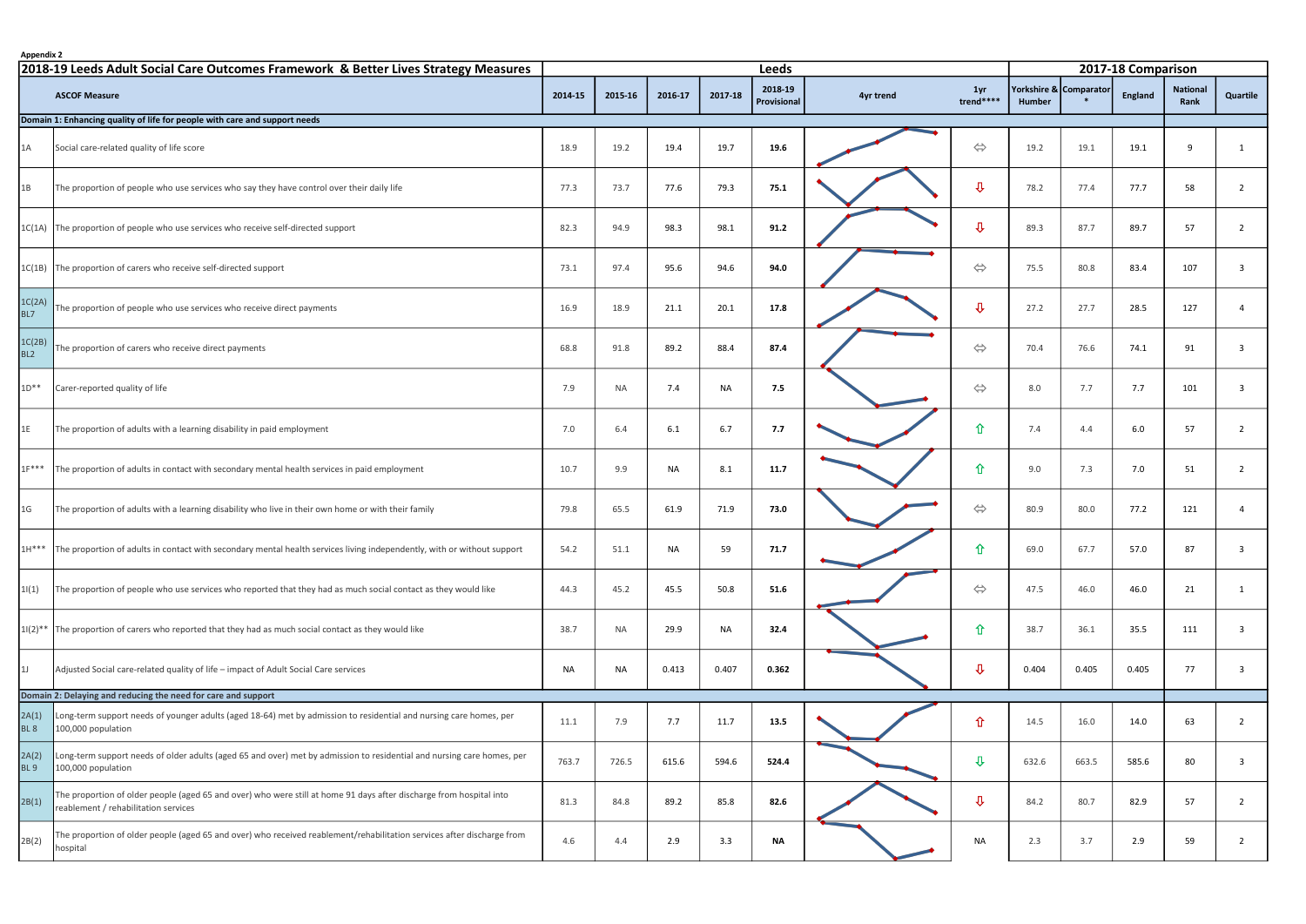| <b>Appendix 2</b>                                                                   |                                                                                                                                                             |         | <b>Leeds</b> |           |           |             |           |                        |        |                        | 2017-18 Comparison |                 |                |  |  |  |
|-------------------------------------------------------------------------------------|-------------------------------------------------------------------------------------------------------------------------------------------------------------|---------|--------------|-----------|-----------|-------------|-----------|------------------------|--------|------------------------|--------------------|-----------------|----------------|--|--|--|
| 2018-19 Leeds Adult Social Care Outcomes Framework & Better Lives Strategy Measures |                                                                                                                                                             |         |              |           |           | 2018-19     |           |                        |        | Yorkshire & Comparator |                    | <b>National</b> |                |  |  |  |
|                                                                                     | <b>ASCOF Measure</b>                                                                                                                                        | 2014-15 | 2015-16      | 2016-17   | 2017-18   | Provisional | 4yr trend | 1yr<br>trend****       | Humber |                        | England            | Rank            | Quartile       |  |  |  |
|                                                                                     | Domain 1: Enhancing quality of life for people with care and support needs                                                                                  |         |              |           |           |             |           |                        |        |                        |                    |                 |                |  |  |  |
| 1A                                                                                  | Social care-related quality of life score                                                                                                                   | 18.9    | 19.2         | 19.4      | 19.7      | 19.6        |           | $\Leftrightarrow$      | 19.2   | 19.1                   | 19.1               | 9               | 1              |  |  |  |
| 1B                                                                                  | The proportion of people who use services who say they have control over their daily life                                                                   | 77.3    | 73.7         | 77.6      | 79.3      | 75.1        |           | $\overline{v}$         | 78.2   | 77.4                   | 77.7               | 58              | $\overline{2}$ |  |  |  |
|                                                                                     | 1C(1A) The proportion of people who use services who receive self-directed support                                                                          | 82.3    | 94.9         | 98.3      | 98.1      | 91.2        |           | $\mathbf{\mathcal{P}}$ | 89.3   | 87.7                   | 89.7               | 57              | $\overline{2}$ |  |  |  |
|                                                                                     | 1C(1B) The proportion of carers who receive self-directed support                                                                                           | 73.1    | 97.4         | 95.6      | 94.6      | 94.0        |           | $\Leftrightarrow$      | 75.5   | 80.8                   | 83.4               | 107             | $\mathbf{3}$   |  |  |  |
| 1C(2A)<br>BL7                                                                       | The proportion of people who use services who receive direct payments                                                                                       | 16.9    | 18.9         | 21.1      | 20.1      | 17.8        |           | $\overline{v}$         | 27.2   | 27.7                   | 28.5               | 127             | $\overline{4}$ |  |  |  |
| 1C(2B)<br>BL <sub>2</sub>                                                           | The proportion of carers who receive direct payments                                                                                                        | 68.8    | 91.8         | 89.2      | 88.4      | 87.4        |           | $\Leftrightarrow$      | 70.4   | 76.6                   | 74.1               | 91              | $\mathbf{3}$   |  |  |  |
| $1D***$                                                                             | Carer-reported quality of life                                                                                                                              | 7.9     | <b>NA</b>    | 7.4       | <b>NA</b> | 7.5         |           | $\Leftrightarrow$      | 8.0    | 7.7                    | 7.7                | 101             | $\overline{3}$ |  |  |  |
| 1E                                                                                  | The proportion of adults with a learning disability in paid employment                                                                                      | 7.0     | 6.4          | 6.1       | 6.7       | 7.7         |           | 仚                      | 7.4    | 4.4                    | 6.0                | 57              | $\overline{2}$ |  |  |  |
| $1F***$                                                                             | The proportion of adults in contact with secondary mental health services in paid employment                                                                | 10.7    | 9.9          | NA        | 8.1       | 11.7        |           | 仚                      | 9.0    | 7.3                    | 7.0                | 51              | $\overline{2}$ |  |  |  |
| 1 <sub>G</sub>                                                                      | The proportion of adults with a learning disability who live in their own home or with their family                                                         | 79.8    | 65.5         | 61.9      | 71.9      | 73.0        |           | $\Leftrightarrow$      | 80.9   | 80.0                   | 77.2               | 121             | $\overline{4}$ |  |  |  |
| $1H***$                                                                             | The proportion of adults in contact with secondary mental health services living independently, with or without support                                     | 54.2    | 51.1         | <b>NA</b> | 59        | 71.7        |           | 仚                      | 69.0   | 67.7                   | 57.0               | 87              | -3             |  |  |  |
| 1(1)                                                                                | The proportion of people who use services who reported that they had as much social contact as they would like                                              | 44.3    | 45.2         | 45.5      | 50.8      | 51.6        |           | $\Leftrightarrow$      | 47.5   | 46.0                   | 46.0               | 21              | $\mathbf{1}$   |  |  |  |
|                                                                                     | $1/(2)*$ The proportion of carers who reported that they had as much social contact as they would like                                                      | 38.7    | NA           | 29.9      | NA        | 32.4        |           | 仚                      | 38.7   | 36.1                   | 35.5               | 111             | $\overline{3}$ |  |  |  |
| 1J                                                                                  | Adjusted Social care-related quality of life - impact of Adult Social Care services                                                                         | NA      | NA           | 0.413     | 0.407     | 0.362       |           | $\mathbf{\hat{u}}$     | 0.404  | 0.405                  | 0.405              | 77              | $\overline{3}$ |  |  |  |
|                                                                                     | Domain 2: Delaying and reducing the need for care and support                                                                                               |         |              |           |           |             |           |                        |        |                        |                    |                 |                |  |  |  |
| 2A(1)<br>BL <sub>8</sub>                                                            | Long-term support needs of younger adults (aged 18-64) met by admission to residential and nursing care homes, per<br>100,000 population                    | 11.1    | 7.9          | 7.7       | 11.7      | 13.5        |           | 仚                      | 14.5   | 16.0                   | 14.0               | 63              | $\overline{2}$ |  |  |  |
| 2A(2)<br><b>BL9</b>                                                                 | Long-term support needs of older adults (aged 65 and over) met by admission to residential and nursing care homes, per<br>100,000 population                | 763.7   | 726.5        | 615.6     | 594.6     | 524.4       |           | $\mathbf{\mathcal{L}}$ | 632.6  | 663.5                  | 585.6              | 80              | 3              |  |  |  |
| 2B(1)                                                                               | The proportion of older people (aged 65 and over) who were still at home 91 days after discharge from hospital into<br>reablement / rehabilitation services | 81.3    | 84.8         | 89.2      | 85.8      | 82.6        |           | $\mathbf{\hat{u}}$     | 84.2   | 80.7                   | 82.9               | 57              | $\overline{2}$ |  |  |  |
| 2B(2)                                                                               | The proportion of older people (aged 65 and over) who received reablement/rehabilitation services after discharge from<br>hospital                          | 4.6     | 4.4          | 2.9       | 3.3       | <b>NA</b>   |           | NA                     | 2.3    | 3.7                    | 2.9                | 59              | $2^{\circ}$    |  |  |  |